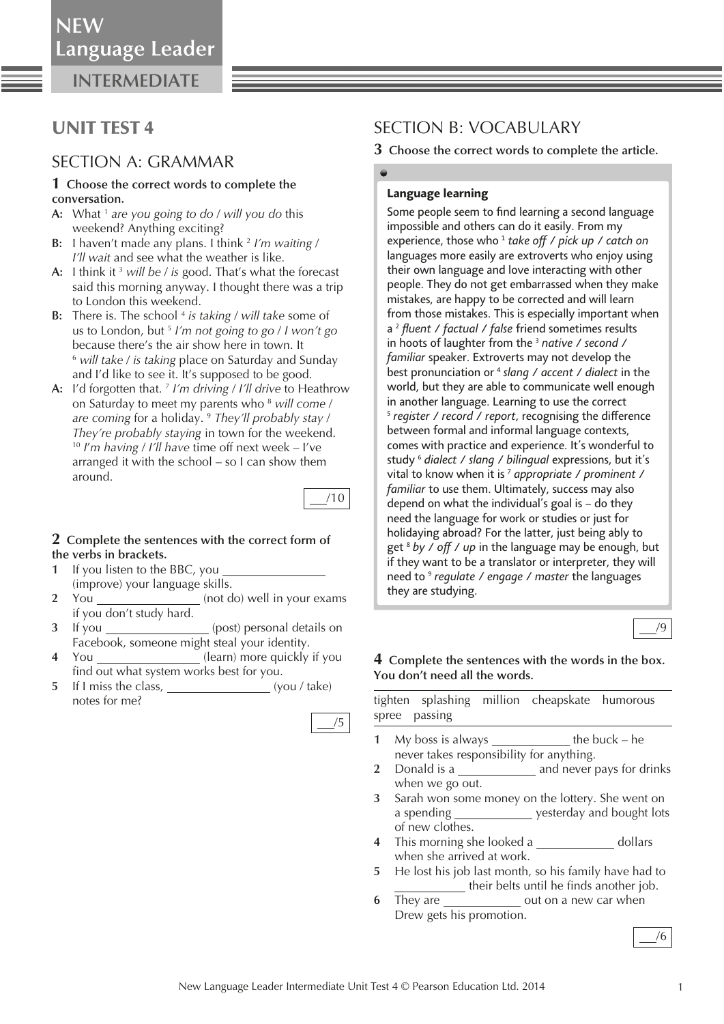**NEW**Language Leader

**INTERMEDIATE**

# UNIT TEST 4

## SECTION A: GRAMMAR

#### **1 Choose the correct words to complete the conversation.**

- **A:** What 1 *are you going to do* / *will you do* this weekend? Anything exciting?
- **B:** I haven't made any plans. I think 2 *I'm waiting* / *I'll wait* and see what the weather is like.
- **A:** I think it 3 *will be* / *is* good. That's what the forecast said this morning anyway. I thought there was a trip to London this weekend.
- **B:** There is. The school <sup>4</sup> is taking / will take some of us to London, but 5 *I'm not going to go* / *I won't go* because there's the air show here in town. It 6 *will take* / *is taking* place on Saturday and Sunday and I'd like to see it. It's supposed to be good.
- **A:** I'd forgotten that. 7 *I'm driving* / *I'll drive* to Heathrow on Saturday to meet my parents who 8  *will come* / *are coming* for a holiday. 9 *They'll probably stay* / *They're probably staying* in town for the weekend.<br><sup>10</sup> *I'm having / I'll have* time off next week – I've arranged it with the school – so I can show them around.



#### **2 Complete the sentences with the correct form of the verbs in brackets.**

- **1** If you listen to the BBC, you (improve) your language skills.
- **2** You (not do) well in your exams if you don't study hard.
- **3** If you (post) personal details on Facebook, someone might steal your identity.
- **4** You (learn) more quickly if you find out what system works best for you.
- **5** If I miss the class, (you / take) notes for me?

| ۰. |
|----|
|    |

# SECTION B: VOCABULARY

**3 Choose the correct words to complete the article.** 

## *Language learning*

Some people seem to find learning a second language *impossible and others can do it easily. From my experience, those who 1 take o / pick up / catch on languages more easily are extroverts who enjoy using their own language and love interacting with other people. They do not get embarrassed when they make mistakes, are happy to be corrected and will learn from those mistakes. This is especially important when a 2 fl uent / factual / false friend sometimes results in hoots of laughter from the 3 native / second / familiar speaker. Extroverts may not develop the best pronunciation or 4 slang / accent / dialect in the world, but they are able to communicate well enough in another language. Learning to use the correct f register* / *record* / *report*, *recognising the difference between formal and informal language contexts, comes with practice and experience. It's wonderful to study 6 dialect / slang / bilingual expressions, but it's vital to know when it is 7 appropriate / prominent / familiar to use them. Ultimately, success may also depend on what the individual's goal is – do they need the language for work or studies or just for holidaying abroad? For the latter, just being ably to get 8 by / o / up in the language may be enough, but if they want to be a translator or interpreter, they will need to 9 regulate / engage / master the languages they are studying.*



### **4 Complete the sentences with the words in the box. You don't need all the words.**

 tighten splashing million cheapskate humorous spree passing

- **1** My boss is always the buck he never takes responsibility for anything.
- **2** Donald is a **and never pays for drinks** when we go out.
- **3** Sarah won some money on the lottery. She went on a spending \_\_\_\_\_\_\_\_\_\_\_\_\_\_ yesterday and bought lots of new clothes.
- **4** This morning she looked a \_\_\_\_\_\_\_\_\_\_\_\_\_\_\_ dollars when she arrived at work.
- **5** He lost his job last month, so his family have had to their belts until he finds another job.
- **6** They are \_\_\_\_\_\_\_\_\_\_\_\_\_\_\_\_ out on a new car when Drew gets his promotion.

/6